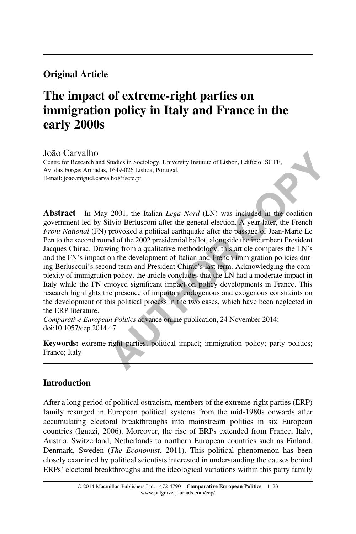# Original Article

# The impact of extreme-right parties on immigration policy in Italy and France in the early 2000s

#### João Carvalho

Centre for Research and Studies in Sociology, University Institute of Lisbon, Edifício ISCTE, Av. das Forças Armadas, 1649-026 Lisboa, Portugal. E-mail: joao.miguel.carvalho@iscte.pt

 **AUTHOR COPY** Abstract In May 2001, the Italian *Lega Nord* (LN) was included in the coalition government led by Silvio Berlusconi after the general election. A year later, the French Front National (FN) provoked a political earthquake after the passage of Jean-Marie Le Pen to the second round of the 2002 presidential ballot, alongside the incumbent President Jacques Chirac. Drawing from a qualitative methodology, this article compares the LN's and the FN's impact on the development of Italian and French immigration policies during Berlusconi's second term and President Chirac's last term. Acknowledging the complexity of immigration policy, the article concludes that the LN had a moderate impact in Italy while the FN enjoyed significant impact on policy developments in France. This research highlights the presence of important endogenous and exogenous constraints on the development of this political process in the two cases, which have been neglected in the ERP literature.

Comparative European Politics advance online publication, 24 November 2014; doi:[10.1057/cep.2014.47](http://dx.doi.org/10.1057/cep.2014.47)

Keywords: extreme-right parties; political impact; immigration policy; party politics; France; Italy

#### **Introduction**

After a long period of political ostracism, members of the extreme-right parties (ERP) family resurged in European political systems from the mid-1980s onwards after accumulating electoral breakthroughs into mainstream politics in six European countries ([Ignazi, 2006\)](#page-20-0). Moreover, the rise of ERPs extended from France, Italy, Austria, Switzerland, Netherlands to northern European countries such as Finland, Denmark, Sweden ([The Economist](#page-22-0), 2011). This political phenomenon has been closely examined by political scientists interested in understanding the causes behind ERPs' electoral breakthroughs and the ideological variations within this party family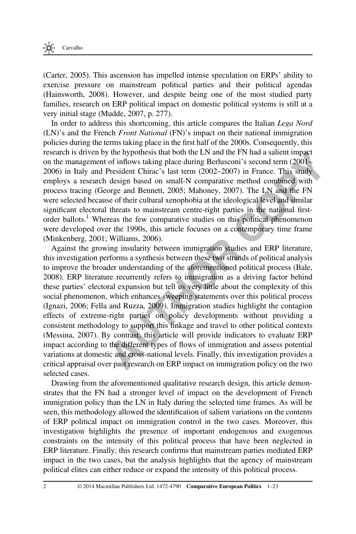[\(Carter, 2005](#page-20-0)). This ascension has impelled intense speculation on ERPs' ability to exercise pressure on mainstream political parties and their political agendas [\(Hainsworth, 2008](#page-20-0)). However, and despite being one of the most studied party families, research on ERP political impact on domestic political systems is still at a very initial stage ([Mudde, 2007,](#page-21-0) p. 277).

In order to address this shortcoming, this article compares the Italian Lega Nord (LN)'s and the French Front National (FN)'s impact on their national immigration policies during the terms taking place in the first half of the 2000s. Consequently, this research is driven by the hypothesis that both the LN and the FN had a salient impact on the management of inflows taking place during Berlusconi's second term (2001– 2006) in Italy and President Chirac's last term (2002–2007) in France. This study employs a research design based on small-N comparative method combined with process tracing ([George and Bennett, 2005](#page-20-0); Mahoney, 2007). The LN and the FN were selected because of their cultural xenophobia at the ideological level and similar significant electoral threats to mainstream centre-right parties in the national firstorder ballots.<sup>1</sup> Whereas the few comparative studies on this political phenomenon were developed over the 1990s, this article focuses on a contemporary time frame [\(Minkenberg, 2001;](#page-21-0) Williams, 2006).

more by the nyomesis mat foom the Liva and the Fiv nad a staitent impact<br>nagement of inflows taking place during Berlusconi's second term (2001–<br>aly and President Chirac's last term (2002–2007) in France. This study<br>hy and Against the growing insularity between immigration studies and ERP literature, this investigation performs a synthesis between these two strands of political analysis to improve the broader understanding of the aforementioned political process (Bale, [2008\)](#page-19-0). ERP literature recurrently refers to immigration as a driving factor behind these parties' electoral expansion but tell us very little about the complexity of this social phenomenon, which enhances sweeping statements over this political process [\(Ignazi, 2006](#page-20-0); [Fella and Ruzza, 2009\)](#page-20-0). Immigration studies highlight the contagion effects of extreme-right parties on policy developments without providing a consistent methodology to support this linkage and travel to other political contexts [\(Messina, 2007](#page-21-0)). By contrast, this article will provide indicators to evaluate ERP impact according to the different types of flows of immigration and assess potential variations at domestic and cross-national levels. Finally, this investigation provides a critical appraisal over past research on ERP impact on immigration policy on the two selected cases.

Drawing from the aforementioned qualitative research design, this article demonstrates that the FN had a stronger level of impact on the development of French immigration policy than the LN in Italy during the selected time frames. As will be seen, this methodology allowed the identification of salient variations on the contents of ERP political impact on immigration control in the two cases. Moreover, this investigation highlights the presence of important endogenous and exogenous constraints on the intensity of this political process that have been neglected in ERP literature. Finally, this research confirms that mainstream parties mediated ERP impact in the two cases, but the analysis highlights that the agency of mainstream political elites can either reduce or expand the intensity of this political process.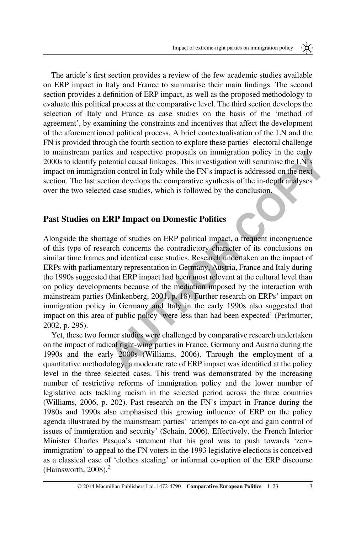The article's first section provides a review of the few academic studies available on ERP impact in Italy and France to summarise their main findings. The second section provides a definition of ERP impact, as well as the proposed methodology to evaluate this political process at the comparative level. The third section develops the selection of Italy and France as case studies on the basis of the 'method of agreement', by examining the constraints and incentives that affect the development of the aforementioned political process. A brief contextualisation of the LN and the FN is provided through the fourth section to explore these parties' electoral challenge to mainstream parties and respective proposals on immigration policy in the early 2000s to identify potential causal linkages. This investigation will scrutinise the LN's impact on immigration control in Italy while the FN's impact is addressed on the next section. The last section develops the comparative synthesis of the in-depth analyses over the two selected case studies, which is followed by the conclusion.

#### Past Studies on ERP Impact on Domestic Politics

mm parties and respective proposais on immigration policy in the earny<br>antify potential causal linkages. This investigation will scrutnise the LN's<br>nmigration control in Italy while the FN's impact is addressed on the next Alongside the shortage of studies on ERP political impact, a frequent incongruence of this type of research concerns the contradictory character of its conclusions on similar time frames and identical case studies. Research undertaken on the impact of ERPs with parliamentary representation in Germany, Austria, France and Italy during the 1990s suggested that ERP impact had been most relevant at the cultural level than on policy developments because of the mediation imposed by the interaction with mainstream parties (Minkenberg, 2001, p. 18). Further research on ERPs' impact on immigration policy in Germany and Italy in the early 1990s also suggested that impact on this area of public policy 'were less than had been expected' (Perlmutter, [2002,](#page-21-0) p. 295).

Yet, these two former studies were challenged by comparative research undertaken on the impact of radical right-wing parties in France, Germany and Austria during the 1990s and the early 2000s (Williams, 2006). Through the employment of a quantitative methodology, a moderate rate of ERP impact was identified at the policy level in the three selected cases. This trend was demonstrated by the increasing number of restrictive reforms of immigration policy and the lower number of legislative acts tackling racism in the selected period across the three countries [\(Williams, 2006,](#page-22-0) p. 202). Past research on the FN's impact in France during the 1980s and 1990s also emphasised this growing influence of ERP on the policy agenda illustrated by the mainstream parties' 'attempts to co-opt and gain control of issues of immigration and security' [\(Schain, 2006\)](#page-21-0). Effectively, the French Interior Minister Charles Pasqua's statement that his goal was to push towards 'zeroimmigration' to appeal to the FN voters in the 1993 legislative elections is conceived as a classical case of 'clothes stealing' or informal co-option of the ERP discourse (Hainsworth,  $2008$ ).<sup>2</sup>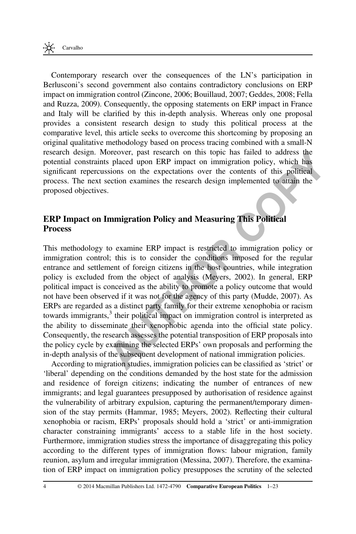Contemporary research over the consequences of the LN's participation in Berlusconi's second government also contains contradictory conclusions on ERP impact on immigration control [\(Zincone, 2006](#page-22-0); [Bouillaud, 2007; Geddes, 2008; Fella](#page-20-0) [and Ruzza, 2009\)](#page-20-0). Consequently, the opposing statements on ERP impact in France and Italy will be clarified by this in-depth analysis. Whereas only one proposal provides a consistent research design to study this political process at the comparative level, this article seeks to overcome this shortcoming by proposing an original qualitative methodology based on process tracing combined with a small-N research design. Moreover, past research on this topic has failed to address the potential constraints placed upon ERP impact on immigration policy, which has significant repercussions on the expectations over the contents of this political process. The next section examines the research design implemented to attain the proposed objectives.

## ERP Impact on Immigration Policy and Measuring This Political Process

sign. Moreover, past researed on this tope nas take to do doness the<br>ensuratints placed upon ERP impact on immigration policy, which has<br>repercussions on the expectations over the contents of this political<br>e next section This methodology to examine ERP impact is restricted to immigration policy or immigration control; this is to consider the conditions imposed for the regular entrance and settlement of foreign citizens in the host countries, while integration policy is excluded from the object of analysis (Meyers, 2002). In general, ERP political impact is conceived as the ability to promote a policy outcome that would not have been observed if it was not for the agency of this party (Mudde, 2007). As ERPs are regarded as a distinct party family for their extreme xenophobia or racism towards immigrants,<sup>3</sup> their political impact on immigration control is interpreted as the ability to disseminate their xenophobic agenda into the official state policy. Consequently, the research assesses the potential transposition of ERP proposals into the policy cycle by examining the selected ERPs' own proposals and performing the in-depth analysis of the subsequent development of national immigration policies.

According to migration studies, immigration policies can be classified as 'strict' or 'liberal' depending on the conditions demanded by the host state for the admission and residence of foreign citizens; indicating the number of entrances of new immigrants; and legal guarantees presupposed by authorisation of residence against the vulnerability of arbitrary expulsion, capturing the permanent/temporary dimension of the stay permits ([Hammar, 1985;](#page-20-0) [Meyers, 2002](#page-21-0)). Reflecting their cultural xenophobia or racism, ERPs' proposals should hold a 'strict' or anti-immigration character constraining immigrants' access to a stable life in the host society. Furthermore, immigration studies stress the importance of disaggregating this policy according to the different types of immigration flows: labour migration, family reunion, asylum and irregular immigration ([Messina, 2007](#page-21-0)). Therefore, the examination of ERP impact on immigration policy presupposes the scrutiny of the selected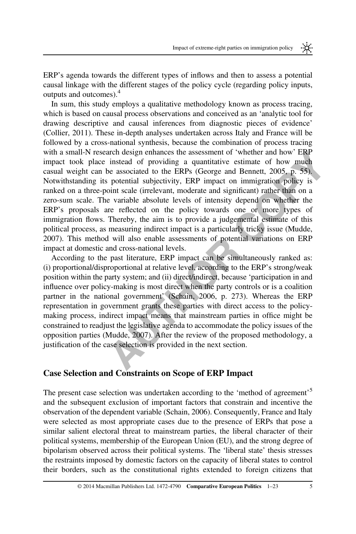ERP's agenda towards the different types of inflows and then to assess a potential causal linkage with the different stages of the policy cycle (regarding policy inputs, outputs and outcomes).<sup>4</sup>

**Example members the assessment of where and now Erk<sup>I</sup><br>
Experient design enhances the associated to the ER[P](#page-20-0)s (George and Bennett, 2005, p. 55), is iding its potential subjectivity. ERP impact on immigration policy is ther** In sum, this study employs a qualitative methodology known as process tracing, which is based on causal process observations and conceived as an 'analytic tool for drawing descriptive and causal inferences from diagnostic pieces of evidence' [\(Collier, 2011\)](#page-20-0). These in-depth analyses undertaken across Italy and France will be followed by a cross-national synthesis, because the combination of process tracing with a small-N research design enhances the assessment of 'whether and how' ERP impact took place instead of providing a quantitative estimate of how much casual weight can be associated to the ERPs (George and Bennett, 2005, p. 55). Notwithstanding its potential subjectivity, ERP impact on immigration policy is ranked on a three-point scale (irrelevant, moderate and significant) rather than on a zero-sum scale. The variable absolute levels of intensity depend on whether the ERP's proposals are reflected on the policy towards one or more types of immigration flows. Thereby, the aim is to provide a judgemental estimate of this political process, as measuring indirect impact is a particularly tricky issue (Mudde, [2007\)](#page-21-0). This method will also enable assessments of potential variations on ERP impact at domestic and cross-national levels.

According to the past literature, ERP impact can be simultaneously ranked as: (i) proportional/disproportional at relative level, according to the ERP's strong/weak position within the party system; and (ii) direct/indirect, because 'participation in and influence over policy-making is most direct when the party controls or is a coalition partner in the national government' (Schain, 2006, p. 273). Whereas the ERP representation in government grants these parties with direct access to the policymaking process, indirect impact means that mainstream parties in office might be constrained to readjust the legislative agenda to accommodate the policy issues of the opposition parties (Mudde, 2007). After the review of the proposed methodology, a justification of the case selection is provided in the next section.

#### Case Selection and Constraints on Scope of ERP Impact

The present case selection was undertaken according to the 'method of agreement'<sup>5</sup> and the subsequent exclusion of important factors that constrain and incentive the observation of the dependent variable ([Schain, 2006](#page-21-0)). Consequently, France and Italy were selected as most appropriate cases due to the presence of ERPs that pose a similar salient electoral threat to mainstream parties, the liberal character of their political systems, membership of the European Union (EU), and the strong degree of bipolarism observed across their political systems. The 'liberal state' thesis stresses the restraints imposed by domestic factors on the capacity of liberal states to control their borders, such as the constitutional rights extended to foreign citizens that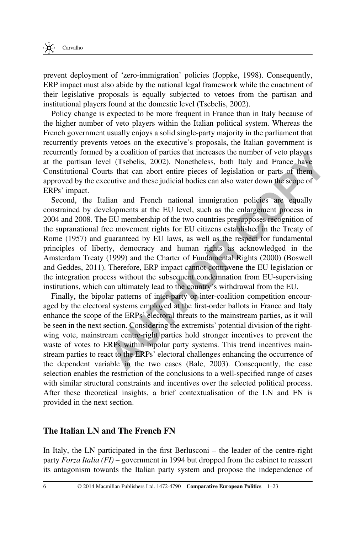prevent deployment of 'zero-immigration' policies [\(Joppke, 1998\)](#page-21-0). Consequently, ERP impact must also abide by the national legal framework while the enactment of their legislative proposals is equally subjected to vetoes from the partisan and institutional players found at the domestic level ([Tsebelis, 2002\)](#page-22-0).

Policy change is expected to be more frequent in France than in Italy because of the higher number of veto players within the Italian political system. Whereas the French government usually enjoys a solid single-party majority in the parliament that recurrently prevents vetoes on the executive's proposals, the Italian government is recurrently formed by a coalition of parties that increases the number of veto players at the partisan level (Tsebelis, 2002). Nonetheless, both Italy and France have Constitutional Courts that can abort entire pieces of legislation or parts of them approved by the executive and these judicial bodies can also water down the scope of ERPs' impact.

Second, the Italian and French national immigration policies are equally constrained by developments at the EU level, such as the enlargement process in 2004 and 2008. The EU membership of the two countries presupposes recognition of the supranational free movement rights for EU citizens established in the Treaty of Rome (1957) and guaranteed by EU laws, as well as the respect for fundamental principles of liberty, democracy and human rights as acknowledged in the Amsterdam Treaty (1999) and the Charter of Fundamental Rights (2000) (Boswell [and Geddes, 2011](#page-20-0)). Therefore, ERP impact cannot contravene the EU legislation or the integration process without the subsequent condemnation from EU-supervising institutions, which can ultimately lead to the country's withdrawal from the EU.

formed by a coalition of parties that increases the tumber of veto payers<br>scan level (Tsebelis, 2002). Nonetheless, both Italy and France have<br>had Courts that can abort entire pieces of legislation or parts of them<br>the exe Finally, the bipolar patterns of inter-party or inter-coalition competition encouraged by the electoral systems employed at the first-order ballots in France and Italy enhance the scope of the ERPs' electoral threats to the mainstream parties, as it will be seen in the next section. Considering the extremists' potential division of the rightwing vote, mainstream centre-right parties hold stronger incentives to prevent the waste of votes to ERPs within bipolar party systems. This trend incentives mainstream parties to react to the ERPs' electoral challenges enhancing the occurrence of the dependent variable in the two cases (Bale, 2003). Consequently, the case selection enables the restriction of the conclusions to a well-specified range of cases with similar structural constraints and incentives over the selected political process. After these theoretical insights, a brief contextualisation of the LN and FN is provided in the next section.

#### The Italian LN and The French FN

In Italy, the LN participated in the first Berlusconi – the leader of the centre-right party Forza Italia (FI) – government in 1994 but dropped from the cabinet to reassert its antagonism towards the Italian party system and propose the independence of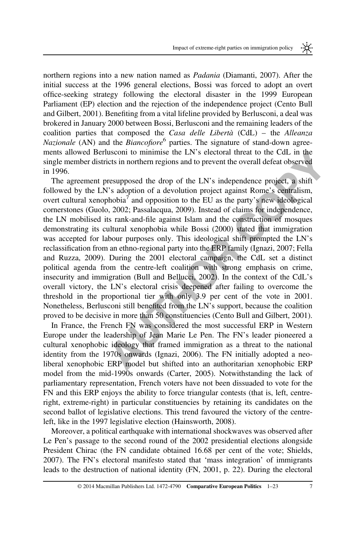northern regions into a new nation named as Padania [\(Diamanti, 2007](#page-20-0)). After the initial success at the 1996 general elections, Bossi was forced to adopt an overt office-seeking strategy following the electoral disaster in the 1999 European Parliament (EP) election and the rejection of the independence project ([Cento Bull](#page-20-0) [and Gilbert, 2001\)](#page-20-0). Benefiting from a vital lifeline provided by Berlusconi, a deal was brokered in January 2000 between Bossi, Berlusconi and the remaining leaders of the coalition parties that composed the *Casa delle Libertà*  $(CdL)$  – the *Alleanza* Nazionale (AN) and the  $Biancofore<sup>6</sup>$  parties. The signature of stand-down agreements allowed Berlusconi to minimise the LN's electoral threat to the CdL in the single member districts in northern regions and to prevent the overall defeat observed in 1996.

**EXERIMENT TO EXECT THEOTE TO THE TRANS ENDED TO THE TRANS ENDED TO THE TRANS CONDITENT TO THE CHALL THE [U](#page-20-0)NITS Adoption of the LN's independence project, a shift emert I resupposed the drop of the LN's independence projec** The agreement presupposed the drop of the LN's independence project, a shift followed by the LN's adoption of a devolution project against Rome's centralism, overt cultural xenophobia<sup>7</sup> and opposition to the EU as the party's new ideological cornerstones ([Guolo, 2002;](#page-20-0) Passalacqua, 2009). Instead of claims for independence, the LN mobilised its rank-and-file against Islam and the construction of mosques demonstrating its cultural xenophobia while Bossi (2000) stated that immigration was accepted for labour purposes only. This ideological shift prompted the LN's reclassification from an ethno-regional party into the ERP family (Ignazi, 2007; Fella [and Ruzza, 2009](#page-20-0)). During the 2001 electoral campaign, the CdL set a distinct political agenda from the centre-left coalition with strong emphasis on crime, insecurity and immigration (Bull and Bellucci, 2002). In the context of the CdL's overall victory, the LN's electoral crisis deepened after failing to overcome the threshold in the proportional tier with only 3.9 per cent of the vote in 2001. Nonetheless, Berlusconi still benefited from the LN's support, because the coalition proved to be decisive in more than 50 constituencies (Cento Bull and Gilbert, 2001).

In France, the French FN was considered the most successful ERP in Western Europe under the leadership of Jean Marie Le Pen. The FN's leader pioneered a cultural xenophobic ideology that framed immigration as a threat to the national identity from the 1970s onwards (Ignazi, 2006). The FN initially adopted a neoliberal xenophobic ERP model but shifted into an authoritarian xenophobic ERP model from the mid-1990s onwards [\(Carter, 2005](#page-20-0)). Notwithstanding the lack of parliamentary representation, French voters have not been dissuaded to vote for the FN and this ERP enjoys the ability to force triangular contests (that is, left, centreright, extreme-right) in particular constituencies by retaining its candidates on the second ballot of legislative elections. This trend favoured the victory of the centreleft, like in the 1997 legislative election ([Hainsworth, 2008\)](#page-20-0).

Moreover, a political earthquake with international shockwaves was observed after Le Pen's passage to the second round of the 2002 presidential elections alongside President Chirac (the FN candidate obtained 16.68 per cent of the vote; [Shields,](#page-22-0) [2007\)](#page-22-0). The FN's electoral manifesto stated that 'mass integration' of immigrants leads to the destruction of national identity [\(FN, 2001,](#page-20-0) p. 22). During the electoral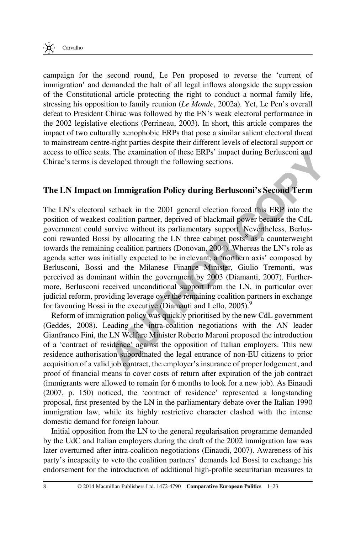campaign for the second round, Le Pen proposed to reverse the 'current of immigration' and demanded the halt of all legal inflows alongside the suppression of the Constitutional article protecting the right to conduct a normal family life, stressing his opposition to family reunion ([Le Monde](#page-21-0), 2002a). Yet, Le Pen's overall defeat to President Chirac was followed by the FN's weak electoral performance in the 2002 legislative elections ([Perrineau, 2003](#page-21-0)). In short, this article compares the impact of two culturally xenophobic ERPs that pose a similar salient electoral threat to mainstream centre-right parties despite their different levels of electoral support or access to office seats. The examination of these ERPs' impact during Berlusconi and Chirac's terms is developed through the following sections.

## The LN Impact on Immigration Policy during Berlusconi's Second Term

The LN's electoral setback in the 2001 general election forced this ERP into the position of weakest coalition partner, deprived of blackmail power because the CdL government could survive without its parliamentary support. Nevertheless, Berlusconi rewarded Bossi by allocating the LN three cabinet posts<sup>8</sup> as a counterweight towards the remaining coalition partners (Donovan, 2004). Whereas the LN's role as agenda setter was initially expected to be irrelevant, a 'northern axis' composed by Berlusconi, Bossi and the Milanese Finance Minister, Giulio Tremonti, was perceived as dominant within the government by 2003 (Diamanti, 2007). Furthermore, Berlusconi received unconditional support from the LN, in particular over judicial reform, providing leverage over the remaining coalition partners in exchange for favouring Bossi in the executive (Diamanti and Lello, 2005).<sup>9</sup>

nce seats. The examination of these EKPs impact during Berlusconi and<br>ms is developed through the following sections.<br>**Apparent on Immigration Policy during Berlusconi's Second Term**<br>exacts coalition partner, deprived of b Reform of immigration policy was quickly prioritised by the new CdL government [\(Geddes, 2008\)](#page-20-0). Leading the intra-coalition negotiations with the AN leader Gianfranco Fini, the LN Welfare Minister Roberto Maroni proposed the introduction of a 'contract of residence' against the opposition of Italian employers. This new residence authorisation subordinated the legal entrance of non-EU citizens to prior acquisition of a valid job contract, the employer's insurance of proper lodgement, and proof of financial means to cover costs of return after expiration of the job contract (immigrants were allowed to remain for 6 months to look for a new job). As [Einaudi](#page-20-0) [\(2007,](#page-20-0) p. 150) noticed, the 'contract of residence' represented a longstanding proposal, first presented by the LN in the parliamentary debate over the Italian 1990 immigration law, while its highly restrictive character clashed with the intense domestic demand for foreign labour.

Initial opposition from the LN to the general regularisation programme demanded by the UdC and Italian employers during the draft of the 2002 immigration law was later overturned after intra-coalition negotiations [\(Einaudi, 2007\)](#page-20-0). Awareness of his party's incapacity to veto the coalition partners' demands led Bossi to exchange his endorsement for the introduction of additional high-profile securitarian measures to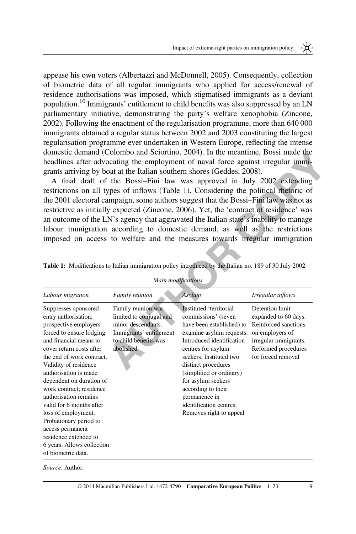<span id="page-8-0"></span>appease his own voters [\(Albertazzi and McDonnell, 2005\)](#page-19-0). Consequently, collection of biometric data of all regular immigrants who applied for access/renewal of residence authorisations was imposed, which stigmatised immigrants as a deviant population.<sup>10</sup> Immigrants' entitlement to child benefits was also suppressed by an LN parliamentary initiative, demonstrating the party's welfare xenophobia ([Zincone,](#page-22-0) [2002\)](#page-22-0). Following the enactment of the regularisation programme, more than 640 000 immigrants obtained a regular status between 2002 and 2003 constituting the largest regularisation programme ever undertaken in Western Europe, reflecting the intense domestic demand ([Colombo and Sciortino, 2004](#page-20-0)). In the meantime, Bossi made the headlines after advocating the employment of naval force against irregular immigrants arriving by boat at the Italian southern shores (Geddes, 2008).

|                                                                                                                                                                                                                                                                                                                                                                                                                                                                                                       |                                                                                                                                      | domestic demand (Colombo and Sciortino, 2004). In the meantime, Bossi made the<br>headlines after advocating the employment of naval force against irregular immi-<br>grants arriving by boat at the Italian southern shores (Geddes, 2008).<br>A final draft of the Bossi-Fini law was approved in July 2002 extending<br>restrictions on all types of inflows (Table 1). Considering the political rhetoric of<br>the 2001 electoral campaign, some authors suggest that the Bossi-Fini law was not as<br>restrictive as initially expected (Zincone, 2006). Yet, the 'contract of residence' was<br>an outcome of the LN's agency that aggravated the Italian state's inability to manage<br>labour immigration according to domestic demand, as well as the restrictions<br>imposed on access to welfare and the measures towards irregular immigration<br>Table 1: Modifications to Italian immigration policy introduced by the Italian no. 189 of 30 July 2002 |                                                                                                                                                          |
|-------------------------------------------------------------------------------------------------------------------------------------------------------------------------------------------------------------------------------------------------------------------------------------------------------------------------------------------------------------------------------------------------------------------------------------------------------------------------------------------------------|--------------------------------------------------------------------------------------------------------------------------------------|-----------------------------------------------------------------------------------------------------------------------------------------------------------------------------------------------------------------------------------------------------------------------------------------------------------------------------------------------------------------------------------------------------------------------------------------------------------------------------------------------------------------------------------------------------------------------------------------------------------------------------------------------------------------------------------------------------------------------------------------------------------------------------------------------------------------------------------------------------------------------------------------------------------------------------------------------------------------------|----------------------------------------------------------------------------------------------------------------------------------------------------------|
| Labour migration                                                                                                                                                                                                                                                                                                                                                                                                                                                                                      | Main modifications<br>Family reunion                                                                                                 | Asylum                                                                                                                                                                                                                                                                                                                                                                                                                                                                                                                                                                                                                                                                                                                                                                                                                                                                                                                                                                | Irregular inflows                                                                                                                                        |
|                                                                                                                                                                                                                                                                                                                                                                                                                                                                                                       |                                                                                                                                      |                                                                                                                                                                                                                                                                                                                                                                                                                                                                                                                                                                                                                                                                                                                                                                                                                                                                                                                                                                       |                                                                                                                                                          |
| Suppresses sponsored<br>entry authorisation;<br>prospective employers<br>forced to ensure lodging<br>and financial means to<br>cover return costs after<br>the end of work contract.<br>Validity of residence<br>authorisation is made<br>dependent on duration of<br>work contract; residence<br>authorisation remains<br>valid for 6 months after<br>loss of employment.<br>Probationary period to<br>access permanent<br>residence extended to<br>6 years. Allows collection<br>of biometric data. | Family reunion was<br>limited to conjugal and<br>minor descendants.<br>Immigrants' entitlement<br>to child benefits was<br>abolished | Instituted 'territorial<br>commissions' (seven<br>have been established) to<br>examine asylum requests.<br>Introduced identification<br>centres for asylum<br>seekers. Instituted two<br>distinct procedures<br>(simplified or ordinary)<br>for asylum seekers<br>according to their<br>permanence in<br>identification centres.<br>Removes right to appeal                                                                                                                                                                                                                                                                                                                                                                                                                                                                                                                                                                                                           | Detention limit<br>expanded to 60 days.<br>Reinforced sanctions<br>on employers of<br>irregular immigrants.<br>Reformed procedures<br>for forced removal |

Source: Author.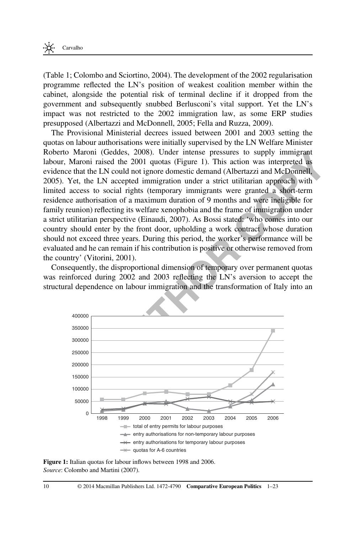<span id="page-9-0"></span>[\(Table 1;](#page-8-0) [Colombo and Sciortino, 2004](#page-20-0)). The development of the 2002 regularisation programme reflected the LN's position of weakest coalition member within the cabinet, alongside the potential risk of terminal decline if it dropped from the government and subsequently snubbed Berlusconi's vital support. Yet the LN's impact was not restricted to the 2002 immigration law, as some ERP studies presupposed [\(Albertazzi and McDonnell, 2005;](#page-19-0) [Fella and Ruzza, 2009](#page-20-0)).

aron (iceaes, 2008). Under linear presentates to supply immy<br>random raised the 2001 quotas (Figure 1). This action was interpreted as<br>the LN could not ignore domestic demand (Albertazzi and McDonnell,<br>the LN cocceled immig The Provisional Ministerial decrees issued between 2001 and 2003 setting the quotas on labour authorisations were initially supervised by the LN Welfare Minister Roberto Maroni ([Geddes, 2008](#page-20-0)). Under intense pressures to supply immigrant labour, Maroni raised the 2001 quotas (Figure 1). This action was interpreted as evidence that the LN could not ignore domestic demand (Albertazzi and McDonnell, [2005\)](#page-19-0). Yet, the LN accepted immigration under a strict utilitarian approach with limited access to social rights (temporary immigrants were granted a short-term residence authorisation of a maximum duration of 9 months and were ineligible for family reunion) reflecting its welfare xenophobia and the frame of immigration under a strict utilitarian perspective (Einaudi, 2007). As Bossi stated: 'who comes into our country should enter by the front door, upholding a work contract whose duration should not exceed three years. During this period, the worker's performance will be evaluated and he can remain if his contribution is positive or otherwise removed from the country' ([Vitorini, 2001](#page-22-0)).

Consequently, the disproportional dimension of temporary over permanent quotas was reinforced during 2002 and 2003 reflecting the LN's aversion to accept the structural dependence on labour immigration and the transformation of Italy into an



Figure 1: Italian quotas for labour inflows between 1998 and 2006. Source: [Colombo and Martini \(2007\).](#page-20-0)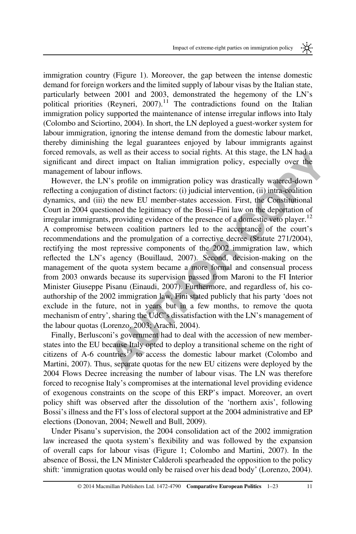immigration country ([Figure 1\)](#page-9-0). Moreover, the gap between the intense domestic demand for foreign workers and the limited supply of labour visas by the Italian state, particularly between 2001 and 2003, demonstrated the hegemony of the LN's political priorities ([Reyneri, 2007\)](#page-21-0).<sup>11</sup> The contradictions found on the Italian immigration policy supported the maintenance of intense irregular inflows into Italy [\(Colombo and Sciortino, 2004](#page-20-0)). In short, the LN deployed a guest-worker system for labour immigration, ignoring the intense demand from the domestic labour market, thereby diminishing the legal guarantees enjoyed by labour immigrants against forced removals, as well as their access to social rights. At this stage, the LN had a significant and direct impact on Italian immigration policy, especially over the management of labour inflows.

Was, as well as their access to social rights. At his stage, the LN bard and direct impact on takilan immigration policy, especially over the tof labour inflows.<br>
the LN's profile on immigration policy was drastically wate However, the LN's profile on immigration policy was drastically watered-down reflecting a conjugation of distinct factors: (i) judicial intervention, (ii) intra-coalition dynamics, and (iii) the new EU member-states accession. First, the Constitutional Court in 2004 questioned the legitimacy of the Bossi–Fini law on the deportation of irregular immigrants, providing evidence of the presence of a domestic veto player.<sup>12</sup> A compromise between coalition partners led to the acceptance of the court's recommendations and the promulgation of a corrective decree (Statute 271/2004), rectifying the most repressive components of the 2002 immigration law, which reflected the LN's agency (Bouillaud, 2007). Second, decision-making on the management of the quota system became a more formal and consensual process from 2003 onwards because its supervision passed from Maroni to the FI Interior Minister Giuseppe Pisanu (Einaudi, 2007). Furthermore, and regardless of, his coauthorship of the 2002 immigration law, Fini stated publicly that his party 'does not exclude in the future, not in years but in a few months, to remove the quota mechanism of entry', sharing the UdC's dissatisfaction with the LN's management of the labour quotas [\(Lorenzo, 2003;](#page-21-0) Arachi, 2004).

Finally, Berlusconi's government had to deal with the accession of new memberstates into the EU because Italy opted to deploy a transitional scheme on the right of citizens of A-6 countries<sup>13</sup> to access the domestic labour market (Colombo and [Martini, 2007\)](#page-20-0). Thus, separate quotas for the new EU citizens were deployed by the 2004 Flows Decree increasing the number of labour visas. The LN was therefore forced to recognise Italy's compromises at the international level providing evidence of exogenous constraints on the scope of this ERP's impact. Moreover, an overt policy shift was observed after the dissolution of the 'northern axis', following Bossi's illness and the FI's loss of electoral support at the 2004 administrative and EP elections ([Donovan, 2004](#page-20-0); Newell and Bull, 2009).

Under Pisanu's supervision, the 2004 consolidation act of the 2002 immigration law increased the quota system's flexibility and was followed by the expansion of overall caps for labour visas ([Figure 1](#page-9-0); [Colombo and Martini, 2007](#page-20-0)). In the absence of Bossi, the LN Minister Calderoli spearheaded the opposition to the policy shift: 'immigration quotas would only be raised over his dead body' [\(Lorenzo, 2004\)](#page-21-0).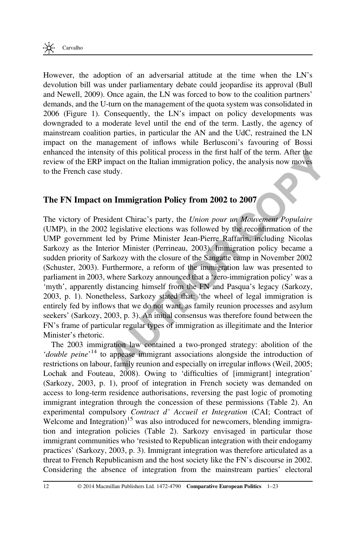However, the adoption of an adversarial attitude at the time when the LN's devolution bill was under parliamentary debate could jeopardise its approval ([Bull](#page-20-0) [and Newell, 2009\)](#page-20-0). Once again, the LN was forced to bow to the coalition partners' demands, and the U-turn on the management of the quota system was consolidated in 2006 [\(Figure 1](#page-9-0)). Consequently, the LN's impact on policy developments was downgraded to a moderate level until the end of the term. Lastly, the agency of mainstream coalition parties, in particular the AN and the UdC, restrained the LN impact on the management of inflows while Berlusconi's favouring of Bossi enhanced the intensity of this political process in the first half of the term. After the review of the ERP impact on the Italian immigration policy, the analysis now moves to the French case study.

## The FN Impact on Immigration Policy from 2002 to 2007

is interpretive of this pointing process in the interpretic increading the emerisory of this case study.<br> **AUTHO[R](#page-21-0) COPY OF PRESSUARY** and the results of the composition of the emerican of the case study.<br> **AUTHOR COPY OF PR** The victory of President Chirac's party, the Union pour un Mouvement Populaire (UMP), in the 2002 legislative elections was followed by the reconfirmation of the UMP government led by Prime Minister Jean-Pierre Raffarin, including Nicolas Sarkozy as the Interior Minister (Perrineau, 2003). Immigration policy became a sudden priority of Sarkozy with the closure of the Sangatte camp in November 2002 [\(Schuster, 2003](#page-22-0)). Furthermore, a reform of the immigration law was presented to parliament in 2003, where Sarkozy announced that a 'zero-immigration policy' was a 'myth', apparently distancing himself from the FN and Pasqua's legacy (Sarkozy, [2003,](#page-21-0) p. 1). Nonetheless, Sarkozy stated that: 'the wheel of legal immigration is entirely fed by inflows that we do not want, as family reunion processes and asylum seekers' ([Sarkozy, 2003,](#page-21-0) p. 3). An initial consensus was therefore found between the FN's frame of particular regular types of immigration as illegitimate and the Interior Minister's rhetoric.

The 2003 immigration law contained a two-pronged strategy: abolition of the 'double peine'<sup>14</sup> to appease immigrant associations alongside the introduction of restrictions on labour, family reunion and especially on irregular inflows (Weil, 2005; [Lochak and Fouteau, 2008\)](#page-21-0). Owing to 'difficulties of [immigrant] integration' [\(Sarkozy, 2003](#page-21-0), p. 1), proof of integration in French society was demanded on access to long-term residence authorisations, reversing the past logic of promoting immigrant integration through the concession of these permissions [\(Table 2\)](#page-12-0). An experimental compulsory Contract d' Accueil et Integration (CAI; Contract of Welcome and Integration)<sup>15</sup> was also introduced for newcomers, blending immigration and integration policies ([Table 2](#page-12-0)). Sarkozy envisaged in particular those immigrant communities who 'resisted to Republican integration with their endogamy practices' ([Sarkozy, 2003](#page-21-0), p. 3). Immigrant integration was therefore articulated as a threat to French Republicanism and the host society like the FN's discourse in 2002. Considering the absence of integration from the mainstream parties' electoral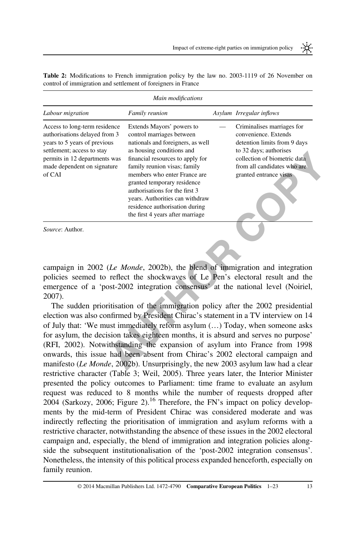₩

|                                                                                                                                                                                                        | Main modifications                                                                                                                                                                                                                                                                                                                                                                                     |                                                                                                                                                                                                       |
|--------------------------------------------------------------------------------------------------------------------------------------------------------------------------------------------------------|--------------------------------------------------------------------------------------------------------------------------------------------------------------------------------------------------------------------------------------------------------------------------------------------------------------------------------------------------------------------------------------------------------|-------------------------------------------------------------------------------------------------------------------------------------------------------------------------------------------------------|
| Labour migration                                                                                                                                                                                       | <b>Family reunion</b>                                                                                                                                                                                                                                                                                                                                                                                  | Asylum Irregular inflows                                                                                                                                                                              |
| Access to long-term residence<br>authorisations delayed from 3<br>years to 5 years of previous<br>settlement; access to stay<br>permits in 12 departments was<br>made dependent on signature<br>of CAI | Extends Mayors' powers to<br>control marriages between<br>nationals and foreigners, as well<br>as housing conditions and<br>financial resources to apply for<br>family reunion visas; family<br>members who enter France are<br>granted temporary residence<br>authorisations for the first 3<br>years. Authorities can withdraw<br>residence authorisation during<br>the first 4 years after marriage | Criminalises marriages for<br>convenience. Extends<br>detention limits from 9 days<br>to 32 days; authorises<br>collection of biometric data<br>from all candidates who are<br>granted entrance visas |
| <i>Source:</i> Author.                                                                                                                                                                                 |                                                                                                                                                                                                                                                                                                                                                                                                        |                                                                                                                                                                                                       |

<span id="page-12-0"></span>Table 2: Modifications to French immigration policy by the law no. 2003-1119 of 26 November on control of immigration and settlement of foreigners in France

campaign in 2002 (Le Monde, 2002b), the blend of immigration and integration policies seemed to reflect the shockwaves of Le Pen's electoral result and the emergence of a 'post-2002 integration consensus' at the national level (Noiriel, [2007\)](#page-21-0).

**Example 2002** and the main contents and the set and the minit remains was financial resources to apply for collection of biometric data the finance variable members who enter France are granted entrance wises and temporar The sudden prioritisation of the immigration policy after the 2002 presidential election was also confirmed by President Chirac's statement in a TV interview on 14 of July that: 'We must immediately reform asylum (…) Today, when someone asks for asylum, the decision takes eighteen months, it is absurd and serves no purpose' [\(RFI, 2002\)](#page-21-0). Notwithstanding the expansion of asylum into France from 1998 onwards, this issue had been absent from Chirac's 2002 electoral campaign and manifesto ([Le Monde](#page-21-0), 2002b). Unsurprisingly, the new 2003 asylum law had a clear restrictive character ([Table 3;](#page-13-0) [Weil, 2005](#page-22-0)). Three years later, the Interior Minister presented the policy outcomes to Parliament: time frame to evaluate an asylum request was reduced to 8 months while the number of requests dropped after  $2004$  ([Sarkozy, 2006](#page-21-0); [Figure 2](#page-13-0)).<sup>16</sup> Therefore, the FN's impact on policy developments by the mid-term of President Chirac was considered moderate and was indirectly reflecting the prioritisation of immigration and asylum reforms with a restrictive character, notwithstanding the absence of these issues in the 2002 electoral campaign and, especially, the blend of immigration and integration policies alongside the subsequent institutionalisation of the 'post-2002 integration consensus'. Nonetheless, the intensity of this political process expanded henceforth, especially on family reunion.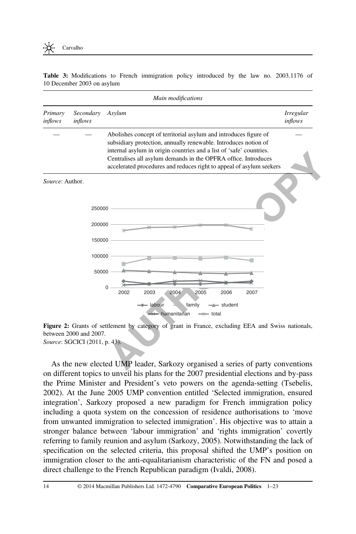<span id="page-13-0"></span>Table 3: Modifications to French immigration policy introduced by the law no. 2003.1176 of 10 December 2003 on asylum

| Main modifications                                               |                                                                                                                                                                                                                                                                                                                                                                                                                                                                                                                                                                                                                       |                             |  |  |
|------------------------------------------------------------------|-----------------------------------------------------------------------------------------------------------------------------------------------------------------------------------------------------------------------------------------------------------------------------------------------------------------------------------------------------------------------------------------------------------------------------------------------------------------------------------------------------------------------------------------------------------------------------------------------------------------------|-----------------------------|--|--|
| Secondary<br>Primary<br>inflows<br>inflows                       | Asylum                                                                                                                                                                                                                                                                                                                                                                                                                                                                                                                                                                                                                | <i>Irregular</i><br>inflows |  |  |
|                                                                  | Abolishes concept of territorial asylum and introduces figure of<br>subsidiary protection, annually renewable. Introduces notion of<br>internal asylum in origin countries and a list of 'safe' countries.<br>Centralises all asylum demands in the OPFRA office. Introduces<br>accelerated procedures and reduces right to appeal of asylum seekers                                                                                                                                                                                                                                                                  |                             |  |  |
| Source: Author.<br>250000<br>200000<br>150000<br>100000<br>50000 | 0<br>2004<br>2005<br>2002<br>2003<br>2006<br>2007<br>- labour<br>family<br>- student<br>$\leftarrow$ humanitarian<br>$\Rightarrow$ total                                                                                                                                                                                                                                                                                                                                                                                                                                                                              |                             |  |  |
| between 2000 and 2007.<br>Source: SGCICI (2011, p. 43).          | Figure 2: Grants of settlement by category of grant in France, excluding EEA and Swiss nationals,<br>As the new elected UMP leader, Sarkozy organised a series of party conventions<br>on different topics to unveil his plans for the 2007 presidential elections and by-pass<br>the Prime Minister and President's veto powers on the agenda-setting (Tsebelis,<br>2002). At the June 2005 UMP convention entitled 'Selected immigration, ensured<br>integration', Sarkozy proposed a new paradigm for French immigration policy<br>including a quota system on the concession of residence authorisations to 'move |                             |  |  |

Figure 2: Grants of settlement by category of grant in France, excluding EEA and Swiss nationals, between 2000 and 2007. Source: SGCICI (2011, p. 43).

As the new elected UMP leader, Sarkozy organised a series of party conventions on different topics to unveil his plans for the 2007 presidential elections and by-pass the Prime Minister and President's veto powers on the agenda-setting [\(Tsebelis,](#page-22-0) [2002\)](#page-22-0). At the June 2005 UMP convention entitled 'Selected immigration, ensured integration', Sarkozy proposed a new paradigm for French immigration policy including a quota system on the concession of residence authorisations to 'move from unwanted immigration to selected immigration'. His objective was to attain a stronger balance between 'labour immigration' and 'rights immigration' covertly referring to family reunion and asylum ([Sarkozy, 2005](#page-21-0)). Notwithstanding the lack of specification on the selected criteria, this proposal shifted the UMP's position on immigration closer to the anti-equalitarianism characteristic of the FN and posed a direct challenge to the French Republican paradigm [\(Ivaldi, 2008](#page-20-0)).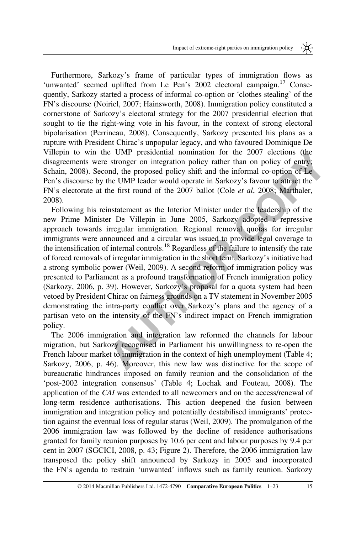Furthermore, Sarkozy's frame of particular types of immigration flows as 'unwanted' seemed uplifted from Le Pen's 2002 electoral campaign.<sup>17</sup> Consequently, Sarkozy started a process of informal co-option or 'clothes stealing' of the FN's discourse ([Noiriel, 2007;](#page-21-0) [Hainsworth, 2008\)](#page-20-0). Immigration policy constituted a cornerstone of Sarkozy's electoral strategy for the 2007 presidential election that sought to tie the right-wing vote in his favour, in the context of strong electoral bipolarisation ([Perrineau, 2008](#page-21-0)). Consequently, Sarkozy presented his plans as a rupture with President Chirac's unpopular legacy, and who favoured Dominique De Villepin to win the UMP presidential nomination for the 2007 elections (the disagreements were stronger on integration policy rather than on policy of entry; [Schain, 2008\)](#page-22-0). Second, the proposed policy shift and the informal co-option of Le Pen's discourse by the UMP leader would operate in Sarkozy's favour to attract the FN's electorate at the first round of the 2007 ballot (Cole et al, 2008; Marthaler, [2008\)](#page-21-0).

Win the *[O](#page-20-0)MP* presionanta nonmation for the *2001* elections (the<br>this were stronger on integration policy rather than on policy of entry;<br>
ABS. Second, the proposed policy shift and the informal co-option of Le<br>
aurse by Following his reinstatement as the Interior Minister under the leadership of the new Prime Minister De Villepin in June 2005, Sarkozy adopted a repressive approach towards irregular immigration. Regional removal quotas for irregular immigrants were announced and a circular was issued to provide legal coverage to the intensification of internal controls.<sup>18</sup> Regardless of the failure to intensify the rate of forced removals of irregular immigration in the short term, Sarkozy's initiative had a strong symbolic power (Weil, 2009). A second reform of immigration policy was presented to Parliament as a profound transformation of French immigration policy [\(Sarkozy, 2006](#page-21-0), p. 39). However, Sarkozy's proposal for a quota system had been vetoed by President Chirac on fairness grounds on a TV statement in November 2005 demonstrating the intra-party conflict over Sarkozy's plans and the agency of a partisan veto on the intensity of the FN's indirect impact on French immigration policy.

The 2006 immigration and integration law reformed the channels for labour migration, but Sarkozy recognised in Parliament his unwillingness to re-open the French labour market to immigration in the context of high unemployment (Table 4; [Sarkozy, 2006](#page-21-0), p. 46). Moreover, this new law was distinctive for the scope of bureaucratic hindrances imposed on family reunion and the consolidation of the 'post-2002 integration consensus' ([Table 4](#page-15-0); [Lochak and Fouteau, 2008\)](#page-21-0). The application of the CAI was extended to all newcomers and on the access/renewal of long-term residence authorisations. This action deepened the fusion between immigration and integration policy and potentially destabilised immigrants' protection against the eventual loss of regular status ([Weil, 2009\)](#page-22-0). The promulgation of the 2006 immigration law was followed by the decline of residence authorisations granted for family reunion purposes by 10.6 per cent and labour purposes by 9.4 per cent in 2007 ([SGCICI, 2008](#page-22-0), p. 43; [Figure 2](#page-13-0)). Therefore, the 2006 immigration law transposed the policy shift announced by Sarkozy in 2005 and incorporated the FN's agenda to restrain 'unwanted' inflows such as family reunion. Sarkozy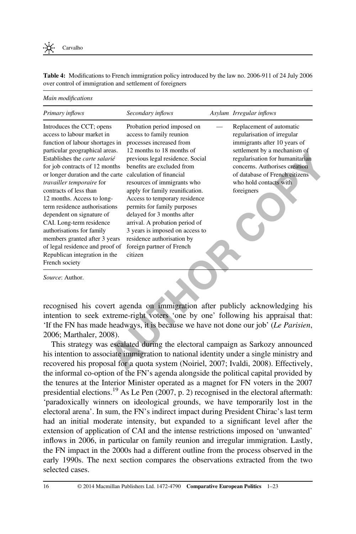<span id="page-15-0"></span>Table 4: Modifications to French immigration policy introduced by the law no. 2006-911 of 24 July 2006 over control of immigration and settlement of foreigners

Main modifications

| Primary inflows                                                                                                                                                                                                                                                                                                                                                                                                                                                                                                                                                                                 | Secondary inflows                                                                                                                                                                                                                                                                                                                                                                                                                                                                             | Asylum Irregular inflows                                                                                                                                                                                                                                              |
|-------------------------------------------------------------------------------------------------------------------------------------------------------------------------------------------------------------------------------------------------------------------------------------------------------------------------------------------------------------------------------------------------------------------------------------------------------------------------------------------------------------------------------------------------------------------------------------------------|-----------------------------------------------------------------------------------------------------------------------------------------------------------------------------------------------------------------------------------------------------------------------------------------------------------------------------------------------------------------------------------------------------------------------------------------------------------------------------------------------|-----------------------------------------------------------------------------------------------------------------------------------------------------------------------------------------------------------------------------------------------------------------------|
| Introduces the CCT; opens<br>access to labour market in<br>function of labour shortages in<br>particular geographical areas.<br>Establishes the carte salarié<br>for job contracts of 12 months<br>or longer duration and the carte calculation of financial<br>travailler temporaire for<br>contracts of less than<br>12 months. Access to long-<br>term residence authorisations<br>dependent on signature of<br>CAI. Long-term residence<br>authorisations for family<br>members granted after 3 years<br>of legal residence and proof of<br>Republican integration in the<br>French society | Probation period imposed on<br>access to family reunion<br>processes increased from<br>12 months to 18 months of<br>previous legal residence. Social<br>benefits are excluded from<br>resources of immigrants who<br>apply for family reunification.<br>Access to temporary residence<br>permits for family purposes<br>delayed for 3 months after<br>arrival. A probation period of<br>3 years is imposed on access to<br>residence authorisation by<br>foreign partner of French<br>citizen | Replacement of automatic<br>regularisation of irregular<br>immigrants after 10 years of<br>settlement by a mechanism of<br>regularisation for humanitarian<br>concerns. Authorises creation<br>of database of French citizens<br>who hold contacts with<br>foreigners |
| Source: Author.                                                                                                                                                                                                                                                                                                                                                                                                                                                                                                                                                                                 | recognised his covert agenda on immigration after publicly acknowledging his                                                                                                                                                                                                                                                                                                                                                                                                                  |                                                                                                                                                                                                                                                                       |
|                                                                                                                                                                                                                                                                                                                                                                                                                                                                                                                                                                                                 | intention to seek extreme-right voters 'one by one' following his appraisal that:<br>'If the FN has made headways, it is because we have not done our job' (Le Parisien,                                                                                                                                                                                                                                                                                                                      |                                                                                                                                                                                                                                                                       |
| 2006; Marthaler, 2008).                                                                                                                                                                                                                                                                                                                                                                                                                                                                                                                                                                         | This strategy was escalated during the electoral campaign as Sarkozy announced                                                                                                                                                                                                                                                                                                                                                                                                                |                                                                                                                                                                                                                                                                       |
|                                                                                                                                                                                                                                                                                                                                                                                                                                                                                                                                                                                                 | his intention to associate immigration to national identity under a single ministry and<br>recovered his proposal for a quota system (Noiriel, 2007; Ivaldi, 2008). Effectively,                                                                                                                                                                                                                                                                                                              |                                                                                                                                                                                                                                                                       |
|                                                                                                                                                                                                                                                                                                                                                                                                                                                                                                                                                                                                 | the informal co-option of the FN's agenda alongside the political capital provided by<br>the tenures at the Interior Minister operated as a magnet for FN voters in the 2007<br>presidential elections. <sup>19</sup> As Le Pen (2007, p. 2) recognised in the electoral aftermath:                                                                                                                                                                                                           |                                                                                                                                                                                                                                                                       |
|                                                                                                                                                                                                                                                                                                                                                                                                                                                                                                                                                                                                 | 'paradoxically winners on ideological grounds, we have temporarily lost in the<br>electoral arena'. In sum, the FN's indirect impact during President Chirac's last term                                                                                                                                                                                                                                                                                                                      |                                                                                                                                                                                                                                                                       |

This strategy was escalated during the electoral campaign as Sarkozy announced his intention to associate immigration to national identity under a single ministry and recovered his proposal for a quota system (Noiriel, 2007; Ivaldi, 2008). Effectively, the informal co-option of the FN's agenda alongside the political capital provided by the tenures at the Interior Minister operated as a magnet for FN voters in the 2007 presidential elections.<sup>19</sup> As [Le Pen \(2007,](#page-21-0) p. 2) recognised in the electoral aftermath: 'paradoxically winners on ideological grounds, we have temporarily lost in the electoral arena'. In sum, the FN's indirect impact during President Chirac's last term had an initial moderate intensity, but expanded to a significant level after the extension of application of CAI and the intense restrictions imposed on 'unwanted' inflows in 2006, in particular on family reunion and irregular immigration. Lastly, the FN impact in the 2000s had a different outline from the process observed in the early 1990s. The next section compares the observations extracted from the two selected cases.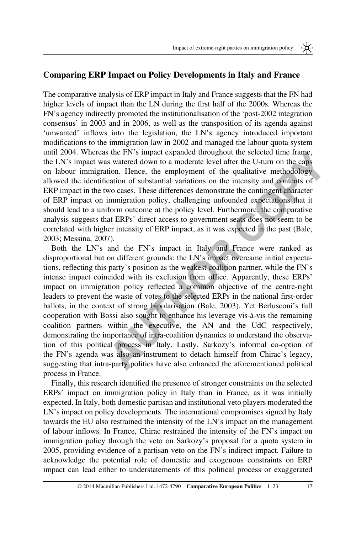米

## Comparing ERP Impact on Policy Developments in Italy and France

The comparative analysis of ERP impact in Italy and France suggests that the FN had higher levels of impact than the LN during the first half of the 2000s. Whereas the FN's agency indirectly promoted the institutionalisation of the 'post-2002 integration consensus' in 2003 and in 2006, as well as the transposition of its agenda against 'unwanted' inflows into the legislation, the LN's agency introduced important modifications to the immigration law in 2002 and managed the labour quota system until 2004. Whereas the FN's impact expanded throughout the selected time frame, the LN's impact was watered down to a moderate level after the U-turn on the caps on labour immigration. Hence, the employment of the qualitative methodology allowed the identification of substantial variations on the intensity and contents of ERP impact in the two cases. These differences demonstrate the contingent character of ERP impact on immigration policy, challenging unfounded expectations that it should lead to a uniform outcome at the policy level. Furthermore, the comparative analysis suggests that ERPs' direct access to government seats does not seem to be correlated with higher intensity of ERP impact, as it was expected in the past (Bale, [2003;](#page-19-0) [Messina, 2007](#page-21-0)).

Whereas the FN is impact expanded tronognout the sected than the reaction<br>that the sect of the product and the state of the term of the complement<br>immigration. Hence, the employment of the qualitative methodology<br>in infini Both the LN's and the FN's impact in Italy and France were ranked as disproportional but on different grounds: the LN's impact overcame initial expectations, reflecting this party's position as the weakest coalition partner, while the FN's intense impact coincided with its exclusion from office. Apparently, these ERPs' impact on immigration policy reflected a common objective of the centre-right leaders to prevent the waste of votes to the selected ERPs in the national first-order ballots, in the context of strong bipolarisation (Bale, 2003). Yet Berlusconi's full cooperation with Bossi also sought to enhance his leverage vis-à-vis the remaining coalition partners within the executive, the AN and the UdC respectively, demonstrating the importance of intra-coalition dynamics to understand the observation of this political process in Italy. Lastly, Sarkozy's informal co-option of the FN's agenda was also an instrument to detach himself from Chirac's legacy, suggesting that intra-party politics have also enhanced the aforementioned political process in France.

Finally, this research identified the presence of stronger constraints on the selected ERPs' impact on immigration policy in Italy than in France, as it was initially expected. In Italy, both domestic partisan and institutional veto players moderated the LN's impact on policy developments. The international compromises signed by Italy towards the EU also restrained the intensity of the LN's impact on the management of labour inflows. In France, Chirac restrained the intensity of the FN's impact on immigration policy through the veto on Sarkozy's proposal for a quota system in 2005, providing evidence of a partisan veto on the FN's indirect impact. Failure to acknowledge the potential role of domestic and exogenous constraints on ERP impact can lead either to understatements of this political process or exaggerated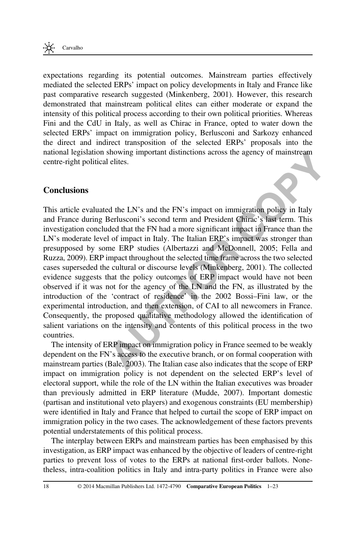

expectations regarding its potential outcomes. Mainstream parties effectively mediated the selected ERPs' impact on policy developments in Italy and France like past comparative research suggested ([Minkenberg, 2001\)](#page-21-0). However, this research demonstrated that mainstream political elites can either moderate or expand the intensity of this political process according to their own political priorities. Whereas Fini and the CdU in Italy, as well as Chirac in France, opted to water down the selected ERPs' impact on immigration policy, Berlusconi and Sarkozy enhanced the direct and indirect transposition of the selected ERPs' proposals into the national legislation showing important distinctions across the agency of mainstream centre-right political elites.

#### **Conclusions**

**Example 11 EXECTS** and the FN's and the FN's impact of manistream political elites.<br> **[A](#page-19-0)N** during Berlusconi's sccool term and President Chine C's last term. This during Berlusconi's sccool term and President Chine C's This article evaluated the LN's and the FN's impact on immigration policy in Italy and France during Berlusconi's second term and President Chirac's last term. This investigation concluded that the FN had a more significant impact in France than the LN's moderate level of impact in Italy. The Italian ERP's impact was stronger than presupposed by some ERP studies (Albertazzi and McDonnell, 2005; Fella and [Ruzza, 2009](#page-20-0)). ERP impact throughout the selected time frame across the two selected cases superseded the cultural or discourse levels (Minkenberg, 2001). The collected evidence suggests that the policy outcomes of ERP impact would have not been observed if it was not for the agency of the LN and the FN, as illustrated by the introduction of the 'contract of residence' in the 2002 Bossi–Fini law, or the experimental introduction, and then extension, of CAI to all newcomers in France. Consequently, the proposed qualitative methodology allowed the identification of salient variations on the intensity and contents of this political process in the two countries.

The intensity of ERP impact on immigration policy in France seemed to be weakly dependent on the FN's access to the executive branch, or on formal cooperation with mainstream parties (Bale, 2003). The Italian case also indicates that the scope of ERP impact on immigration policy is not dependent on the selected ERP's level of electoral support, while the role of the LN within the Italian executives was broader than previously admitted in ERP literature [\(Mudde, 2007\)](#page-21-0). Important domestic (partisan and institutional veto players) and exogenous constraints (EU membership) were identified in Italy and France that helped to curtail the scope of ERP impact on immigration policy in the two cases. The acknowledgement of these factors prevents potential understatements of this political process.

The interplay between ERPs and mainstream parties has been emphasised by this investigation, as ERP impact was enhanced by the objective of leaders of centre-right parties to prevent loss of votes to the ERPs at national first-order ballots. Nonetheless, intra-coalition politics in Italy and intra-party politics in France were also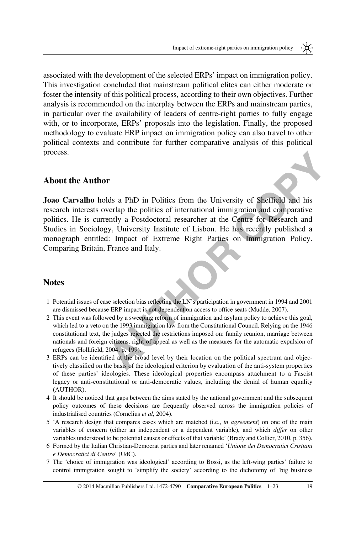associated with the development of the selected ERPs' impact on immigration policy. This investigation concluded that mainstream political elites can either moderate or foster the intensity of this political process, according to their own objectives. Further analysis is recommended on the interplay between the ERPs and mainstream parties, in particular over the availability of leaders of centre-right parties to fully engage with, or to incorporate, ERPs' proposals into the legislation. Finally, the proposed methodology to evaluate ERP impact on immigration policy can also travel to other political contexts and contribute for further comparative analysis of this political process.

#### About the Author

**Author**<br>**Author**<br>**Author**<br>**Author**<br>**Author**<br>**Author**<br>**Author**<br>**Existence is the politics of international immigration and comparative<br>is is currently a Postdoctoral research at the Cetture of C-Research and<br>Sociology, Uni** Joao Carvalho holds a PhD in Politics from the University of Sheffield and his research interests overlap the politics of international immigration and comparative politics. He is currently a Postdoctoral researcher at the Centre for Research and Studies in Sociology, University Institute of Lisbon. He has recently published a monograph entitled: Impact of Extreme Right Parties on Immigration Policy. Comparing Britain, France and Italy.

#### **Notes**

- 1 Potential issues of case selection bias reflecting the LN's participation in government in 1994 and 2001 are dismissed because ERP impact is not dependent on access to office seats (Mudde, 2007).
- 2 This event was followed by a sweeping reform of immigration and asylum policy to achieve this goal, which led to a veto on the 1993 immigration law from the Constitutional Council. Relying on the 1946 constitutional text, the judges rejected the restrictions imposed on: family reunion, marriage between nationals and foreign citizens, right of appeal as well as the measures for the automatic expulsion of refugees (Hollifi[eld, 2004](#page-20-0), p. 199).
- 3 ERPs can be identified at the broad level by their location on the political spectrum and objectively classified on the basis of the ideological criterion by evaluation of the anti-system properties of these parties' ideologies. These ideological properties encompass attachment to a Fascist legacy or anti-constitutional or anti-democratic values, including the denial of human equality (AUTHOR).
- 4 It should be noticed that gaps between the aims stated by the national government and the subsequent policy outcomes of these decisions are frequently observed across the immigration policies of industrialised countries ([Cornelius](#page-20-0) et al, 2004).
- 5 'A research design that compares cases which are matched (i.e., in agreement) on one of the main variables of concern (either an independent or a dependent variable), and which differ on other variables understood to be potential causes or effects of that variable' [\(Brady and Collier, 2010,](#page-20-0) p. 356).
- 6 Formed by the Italian Christian-Democrat parties and later renamed 'Unione dei Democratici Cristiani e Democratici di Centro' (UdC).
- 7 The 'choice of immigration was ideological' according to Bossi, as the left-wing parties' failure to control immigration sought to 'simplify the society' according to the dichotomy of 'big business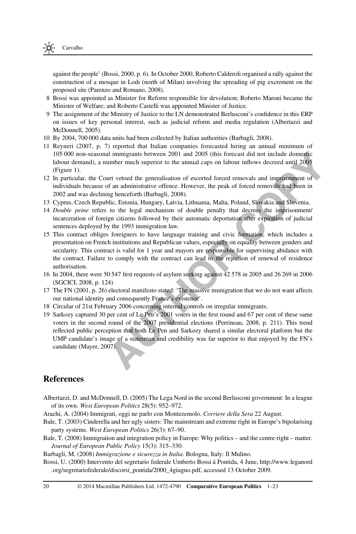<span id="page-19-0"></span>

against the people' (Bossi, 2000, p. 6). In October 2000, Roberto Calderoli organised a rally against the construction of a mosque in Lodi (north of Milan) involving the spreading of pig excrement on the proposed site [\(Parenzo and Romano, 2008\)](#page-21-0).

- 8 Bossi was appointed as Minister for Reform responsible for devolution; Roberto Maroni became the Minister of Welfare; and Roberto Castelli was appointed Minister of Justice.
- 9 The assignment of the Ministry of Justice to the LN demonstrated Berlusconi's confidence in this ERP on issues of key personal interest, such as judicial reform and media regulation (Albertazzi and McDonnell, 2005).
- 10 By 2004, 700 000 data units had been collected by Italian authorities (Barbagli, 2008).
- 11 [Reyneri \(2007](#page-21-0), p. 7) reported that Italian companies forecasted hiring an annual minimum of 105 000 non-seasonal immigrants between 2001 and 2005 (this forecast did not include domestic labour demand), a number much superior to the annual caps on labour inflows decreed until 2005 [\(Figure 1\)](#page-9-0).
- 12 In particular, the Court vetoed the generalisation of escorted forced removals and imprisonment of individuals because of an administrative offence. However, the peak of forced removals had been in 2002 and was declining henceforth (Barbagli, 2008).
- 13 Cyprus, Czech Republic, Estonia, Hungary, Latvia, Lithuania, Malta, Poland, Slovakia and Slovenia.
- 14 Double peine refers to the legal mechanism of double penalty that decrees the imprisonment/ incarceration of foreign citizens followed by their automatic deportation after expiration of judicial sentences deployed by the 1993 immigration law.
- 15 This contract obliges foreigners to have language training and civic formation, which includes a presentation on French institutions and Republican values, especially on equality between genders and secularity. This contract is valid for 1 year and mayors are responsible for supervising abidance with the contract. Failure to comply with the contract can lead to the rejection of renewal of residence authorisation.
- 16 In 2004, there were 50 547 first requests of asylum seeking against 42 578 in 2005 and 26 269 in 2006 [\(SGCICI, 2008](#page-22-0), p. 124)
- 17 The [FN \(2001](#page-20-0), p. 26) electoral manifesto stated: 'The massive immigration that we do not want affects our national identity and consequently France's existence'.
- 18 Circular of 21st February 2006 concerning internal controls on irregular immigrants.
- on-seasonal immigrants between 2001 and 2005 (this forceast did not include domestic.<br>
anand), a number much superior to the annual caps on labour inflows decreed until 2005<br>
and that the contrelation of escored forced rem 19 Sarkozy captured 30 per cent of Le Pen's 2001 voters in the first round and 67 per cent of these same voters in the second round of the 2007 presidential elections (Perrineau, 2008, p. 211). This trend reflected public perception that both Le Pen and Sarkozy shared a similar electoral platform but the UMP candidate's image of a statesman and credibility was far superior to that enjoyed by the FN's candidate ([Mayer, 2007](#page-21-0)).

#### **References**

- Albertazzi, D. and McDonnell, D. (2005) The Lega Nord in the second Berlusconi government: In a league of its own. West European Politics 28(5): 952–972.
- Arachi, A. (2004) Immigrati, oggi ne parlo con Montezemolo. Corriere della Sera 22 August.
- Bale, T. (2003) Cinderella and her ugly sisters: The mainstream and extreme right in Europe's bipolarising party systems. West European Politics 26(3): 67–90.
- Bale, T. (2008) Immigration and integration policy in Europe: Why politics and the centre-right matter. Journal of European Public Policy 15(3): 315–330.

Barbagli, M. (2008) Immigrazione e sicurezza in Italia. Bologna, Italy: Il Mulino.

Bossi, U. (2000) Intervento del segretario federale Umberto Bossi á Pontida, 4 June, [http://www.leganord](http://www.leganord.org/segretariofederale/discorsi_pontida/2000_4giugno.pdf) [.org/segretariofederale/discorsi\\_pontida/2000\\_4giugno.pdf](http://www.leganord.org/segretariofederale/discorsi_pontida/2000_4giugno.pdf), accessed 13 October 2009.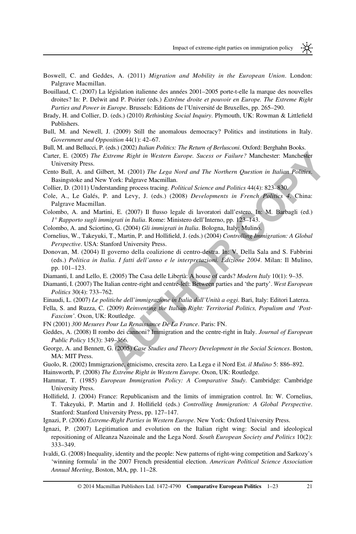⋇

<span id="page-20-0"></span>Boswell, C. and Geddes, A. (2011) Migration and Mobility in the European Union. London: Palgrave Macmillan.

Bouillaud, C. (2007) La législation italienne des années 2001–2005 porte-t-elle la marque des nouvelles droites? In: P. Delwit and P. Poirier (eds.) Extrême droite et pouvoir en Europe. The Extreme Right Parties and Power in Europe. Brussels: Editions de l'Université de Bruxelles, pp. 265–290.

- Brady, H. and Collier, D. (eds.) (2010) Rethinking Social Inquiry. Plymouth, UK: Rowman & Littlefield Publishers.
- Bull, M. and Newell, J. (2009) Still the anomalous democracy? Politics and institutions in Italy. Government and Opposition 44(1): 42–67.
- Bull, M. and Bellucci, P. (eds.) (2002) Italian Politics: The Return of Berlusconi. Oxford: Berghahn Books.
- Carter, E. (2005) The Extreme Right in Western Europe. Sucess or Failure? Manchester: Manchester University Press.
- Cento Bull, A. and Gilbert, M. (2001) The Lega Nord and The Northern Question in Italian Politics. Basingstoke and New York: Palgrave Macmillan.
- Collier, D. (2011) Understanding process tracing. Political Science and Politics 44(4): 823–830.
- Cole, A., Le Galés, P. and Levy, J. (eds.) (2008) Developments in French Politics 4. China: Palgrave Macmillan.
- Colombo, A. and Martini, E. (2007) Il flusso legale di lavoratori dall'estero. In: M. Barbagli (ed.) 1° Rapporto sugli immigrati in Italia. Rome: Ministero dell'Interno, pp. 123–143.
- Colombo, A. and Sciortino, G. (2004) Gli immigrati in Italia. Bologna, Italy: Mulino.
- Cornelius, W., Takeyuki, T., Martin, P. and Hollifield, J. (eds.) (2004) Controlling Immigration: A Global Perspective. USA: Stanford University Press.
- **Ship The Extreme Right in Western Europe. Success or Failure? Manchester: Manchester Press,<br>
<b>Press,** and Gilbert, M. (2001) The Lega Nord and The Northern Question in Italian Politics<br>
and New York: Palgrave Macmillan.<br> Donovan, M. (2004) Il governo della coalizione di centro-destra. In: V. Della Sala and S. Fabbrini (eds.) Politica in Italia. I fatti dell'anno e le interpretazioni. Edizione 2004. Milan: Il Mulino, pp. 101–123.
- Diamanti, I. and Lello, E. (2005) The Casa delle Libertà: A house of cards? Modern Italy 10(1): 9–35.
- Diamanti, I. (2007) The Italian centre-right and centre-left: Between parties and 'the party'. West European Politics 30(4): 733–762.
- Einaudi, L. (2007) Le politiche dell'immigrazione in Italia dall'Unità a oggi. Bari, Italy: Editori Laterza.
- Fella, S. and Ruzza, C. (2009) Reinventing the Italian Right: Territorial Politics, Populism and 'Post-Fascism'. Oxon, UK: Routledge.
- FN (2001) 300 Mesures Pour La Renaissance De La France. Paris: FN.
- Geddes, A. (2008) Il rombo dei cannoni? Immigration and the centre-right in Italy. Journal of European Public Policy 15(3): 349–366.
- George, A. and Bennett, G. (2005) Case Studies and Theory Development in the Social Sciences. Boston, MA: MIT Press.
- Guolo, R. (2002) Immigrazione, etnicismo, crescita zero. La Lega e il Nord Est. il Mulino 5: 886–892.

Hainsworth, P. (2008) The Extreme Right in Western Europe. Oxon, UK: Routledge.

- Hammar, T. (1985) European Immigration Policy: A Comparative Study. Cambridge: Cambridge University Press.
- Hollifield, J. (2004) France: Republicanism and the limits of immigration control. In: W. Cornelius, T. Takeyuki, P. Martin and J. Hollifield (eds.) Controlling Immigration: A Global Perspective. Stanford: Stanford University Press, pp. 127–147.
- Ignazi, P. (2006) Extreme-Right Parties in Western Europe. New York: Oxford University Press.
- Ignazi, P. (2007) Legitimation and evolution on the Italian right wing: Social and ideological repositioning of Alleanza Nazoinale and the Lega Nord. South European Society and Politics 10(2): 333–349.
- Ivaldi, G. (2008) Inequality, identity and the people: New patterns of right-wing competition and Sarkozy's 'winning formula' in the 2007 French presidential election. American Political Science Association Annual Meeting, Boston, MA, pp. 11–28.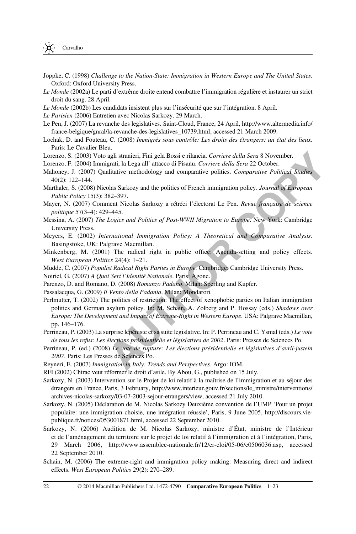- <span id="page-21-0"></span>Joppke, C. (1998) Challenge to the Nation-State: Immigration in Western Europe and The United States. Oxford: Oxford University Press.
- Le Monde (2002a) Le parti d'extrême droite entend combattre l'immigration régulière et instaurer un strict droit du sang. 28 April.
- Le Monde (2002b) Les candidats insistent plus sur l'insécurité que sur l'intégration. 8 April.
- Le Parisien (2006) Entretien avec Nicolas Sarkozy. 29 March.
- Le Pen, J. (2007) La revanche des legislatives. Saint-Cloud, France, 24 April, [http://www.altermedia.info/](http://www.altermedia.info/france-belgique/gnral/la-revanche-des-legislatives_10739.html) [france-belgique/gnral/la-revanche-des-legislatives\\_10739.html](http://www.altermedia.info/france-belgique/gnral/la-revanche-des-legislatives_10739.html), accessed 21 March 2009.
- Lochak, D. and Fouteau, C. (2008) Immigrés sous contrôle: Les droits des étrangers: un état des lieux. Paris: Le Cavalier Bleu.
- Lorenzo, S. (2003) Voto agli stranieri, Fini gela Bossi e rilancia. Corriere della Sera 8 November.
- Lorenzo, F. (2004) Immigrati, la Lega all' attacco di Pisanu. Corriere della Sera 22 October.
- Mahoney, J. (2007) Qualitative methodology and comparative politics. Comparative Political Studies 40(2): 122–144.
- Marthaler, S. (2008) Nicolas Sarkozy and the politics of French immigration policy. Journal of European Public Policy 15(3): 382–397.
- Mayer, N. (2007) Comment Nicolas Sarkozy a rétréci l'électorat Le Pen. Revue française de science politique 57(3–4): 429–445.
- Messina, A. (2007) The Logics and Politics of Post-WWII Migration to Europe. New York: Cambridge University Press.
- Meyers, E. (2002) International Immigration Policy: A Theoretical and Comparative Analysis. Basingstoke, UK: Palgrave Macmillan.
- Minkenberg, M. (2001) The radical right in public office: Agenda-setting and policy effects. West European Politics 24(4): 1–21.
- Mudde, C. (2007) Populist Radical Right Parties in Europe. Cambridge: Cambridge University Press.
- Noiriel, G. (2007) A Quoi Sert l'Identité Nationale. Paris: Agone.
- Parenzo, D. and Romano, D. (2008) Romanzo Padano. Milan: Sperling and Kupfer.
- Passalacqua, G. (2009) Il Vento della Padania. Milan: Mondarori.
- 003) Voto agli strancin, Fini gela Bossi e rilancia. *Corriere della Sera* 8 November.<br>
2007) Voto agli stranco al Pisaou. Corriere della Sera 2 October.<br>
2007) Qualitative methodology and comparative politics. *Comparativ* Perlmutter, T. (2002) The politics of restriction: The effect of xenophobic parties on Italian immigration politics and German asylum policy. In: M. Schain, A. Zolberg and P. Hossay (eds.) Shadows over Europe: The Development and Impact of Extreme-Right in Western Europe. USA: Palgrave Macmillan, pp. 146–176.
- Perrineau, P. (2003) La surprise lepéniste et sa suite legislative. In: P. Perrineau and C. Ysmal (eds.) Le vote de tous les refus: Les élections présidentielle et législatives de 2002. Paris: Presses de Sciences Po.
- Perrineau, P. (ed.) (2008) Le vote de rupture: Les élections présidentielle et législatives d'avril-justein 2007. Paris: Les Presses de Sciences Po.
- Reyneri, E. (2007) Immigration in Italy: Trends and Perspectives. Argo: IOM.
- RFI (2002) Chirac veut réformer le droit d'asile. By Abou, G., published on 15 July.
- Sarkozy, N. (2003) Intervention sur le Projet de loi relatif à la maîtrise de l'immigration et au séjour des étrangers en France, Paris, 3 February, [http://www.interieur.gouv.fr/sections/le\\_ministre/interventions/](http://www.interieur.gouv.fr/sections/le_ministre/interventions/archives-nicolas-sarkozy/03-07-2003-sejour-etrangers/view) [archives-nicolas-sarkozy/03-07-2003-sejour-etrangers/view](http://www.interieur.gouv.fr/sections/le_ministre/interventions/archives-nicolas-sarkozy/03-07-2003-sejour-etrangers/view), accessed 21 July 2010.
- Sarkozy, N. (2005) Déclaration de M. Nicolas Sarkozy Deuxième convention de l'UMP 'Pour un projet populaire: une immigration choisie, une intégration réussie', Paris, 9 June 2005, [http://discours.vie](http://discours.vie-publique.fr/notices/053001871.html)[publique.fr/notices/053001871.html](http://discours.vie-publique.fr/notices/053001871.html), accessed 22 September 2010.
- Sarkozy, N. (2006) Audition de M. Nicolas Sarkozy, ministre d'État, ministre de l'Intérieur et de l'aménagement du territoire sur le projet de loi relatif à l'immigration et à l'intégration, Paris, 29 March 2006,<http://www.assemblee-nationale.fr/12/cr-cloi/05-06/c0506036.asp>, accessed 22 September 2010.
- Schain, M. (2006) The extreme-right and immigration policy making: Measuring direct and indirect effects. West European Politics 29(2): 270–289.